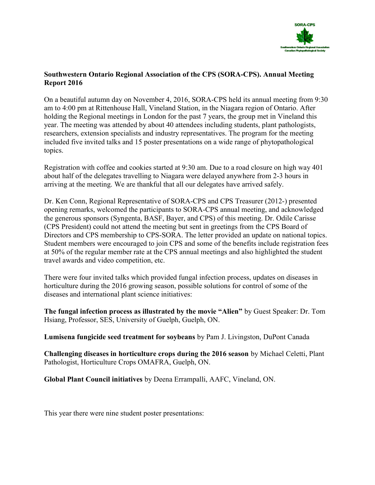

## Southwestern Ontario Regional Association of the CPS (SORA-CPS). Annual Meeting Report 2016

On a beautiful autumn day on November 4, 2016, SORA-CPS held its annual meeting from 9:30 am to 4:00 pm at Rittenhouse Hall, Vineland Station, in the Niagara region of Ontario. After holding the Regional meetings in London for the past 7 years, the group met in Vineland this year. The meeting was attended by about 40 attendees including students, plant pathologists, researchers, extension specialists and industry representatives. The program for the meeting included five invited talks and 15 poster presentations on a wide range of phytopathological topics.

Registration with coffee and cookies started at 9:30 am. Due to a road closure on high way 401 about half of the delegates travelling to Niagara were delayed anywhere from 2-3 hours in arriving at the meeting. We are thankful that all our delegates have arrived safely.

Dr. Ken Conn, Regional Representative of SORA-CPS and CPS Treasurer (2012-) presented opening remarks, welcomed the participants to SORA-CPS annual meeting, and acknowledged the generous sponsors (Syngenta, BASF, Bayer, and CPS) of this meeting. Dr. Odile Carisse (CPS President) could not attend the meeting but sent in greetings from the CPS Board of Directors and CPS membership to CPS-SORA. The letter provided an update on national topics. Student members were encouraged to join CPS and some of the benefits include registration fees at 50% of the regular member rate at the CPS annual meetings and also highlighted the student travel awards and video competition, etc.

There were four invited talks which provided fungal infection process, updates on diseases in horticulture during the 2016 growing season, possible solutions for control of some of the diseases and international plant science initiatives:

The fungal infection process as illustrated by the movie "Alien" by Guest Speaker: Dr. Tom Hsiang, Professor, SES, University of Guelph, Guelph, ON.

Lumisena fungicide seed treatment for soybeans by Pam J. Livingston, DuPont Canada

Challenging diseases in horticulture crops during the 2016 season by Michael Celetti, Plant Pathologist, Horticulture Crops OMAFRA, Guelph, ON.

Global Plant Council initiatives by Deena Errampalli, AAFC, Vineland, ON.

This year there were nine student poster presentations: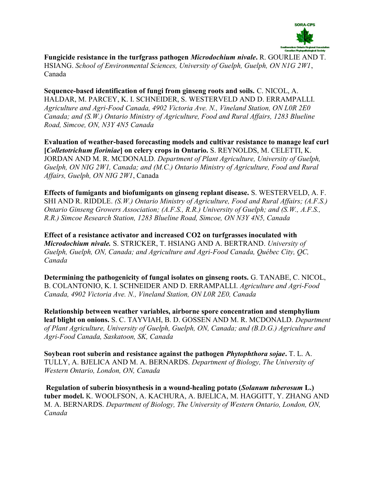

Fungicide resistance in the turfgrass pathogen Microdochium nivale. R. GOURLIE AND T. HSIANG. School of Environmental Sciences, University of Guelph, Guelph, ON N1G 2W1, Canada

Sequence-based identification of fungi from ginseng roots and soils. C. NICOL, A. HALDAR, M. PARCEY, K. I. SCHNEIDER, S. WESTERVELD AND D. ERRAMPALLI. Agriculture and Agri-Food Canada, 4902 Victoria Ave. N., Vineland Station, ON L0R 2E0 Canada; and (S.W.) Ontario Ministry of Agriculture, Food and Rural Affairs, 1283 Blueline Road, Simcoe, ON, N3Y 4N5 Canada

Evaluation of weather-based forecasting models and cultivar resistance to manage leaf curl [Colletotrichum fioriniae] on celery crops in Ontario. S. REYNOLDS, M. CELETTI, K. JORDAN AND M. R. MCDONALD. Department of Plant Agriculture, University of Guelph, Guelph, ON NIG 2W1, Canada; and (M.C.) Ontario Ministry of Agriculture, Food and Rural Affairs, Guelph, ON NIG 2W1, Canada

Effects of fumigants and biofumigants on ginseng replant disease. S. WESTERVELD, A. F. SHI AND R. RIDDLE. (S.W.) Ontario Ministry of Agriculture, Food and Rural Affairs; (A.F.S.) Ontario Ginseng Growers Association; (A.F.S., R.R.) University of Guelph; and (S.W., A.F.S., R.R.) Simcoe Research Station, 1283 Blueline Road, Simcoe, ON N3Y 4N5, Canada

Effect of a resistance activator and increased CO2 on turfgrasses inoculated with Microdochium nivale. S. STRICKER, T. HSIANG AND A. BERTRAND. University of Guelph, Guelph, ON, Canada; and Agriculture and Agri-Food Canada, Québec City, QC, Canada

Determining the pathogenicity of fungal isolates on ginseng roots. G. TANABE, C. NICOL, B. COLANTONIO, K. I. SCHNEIDER AND D. ERRAMPALLI. Agriculture and Agri-Food Canada, 4902 Victoria Ave. N., Vineland Station, ON L0R 2E0, Canada

Relationship between weather variables, airborne spore concentration and stemphylium leaf blight on onions. S. C. TAYVIAH, B. D. GOSSEN AND M. R. MCDONALD. Department of Plant Agriculture, University of Guelph, Guelph, ON, Canada; and (B.D.G.) Agriculture and Agri-Food Canada, Saskatoon, SK, Canada

Soybean root suberin and resistance against the pathogen Phytophthora sojae. T. L. A. TULLY, A. BJELICA AND M. A. BERNARDS. Department of Biology, The University of Western Ontario, London, ON, Canada

Regulation of suberin biosynthesis in a wound-healing potato (Solanum tuberosum L.) tuber model. K. WOOLFSON, A. KACHURA, A. BJELICA, M. HAGGITT, Y. ZHANG AND M. A. BERNARDS. Department of Biology, The University of Western Ontario, London, ON, Canada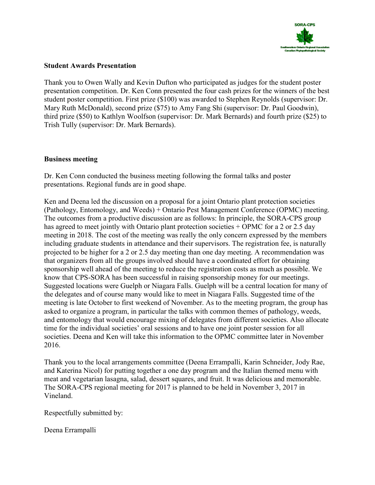

## Student Awards Presentation

Thank you to Owen Wally and Kevin Dufton who participated as judges for the student poster presentation competition. Dr. Ken Conn presented the four cash prizes for the winners of the best student poster competition. First prize (\$100) was awarded to Stephen Reynolds (supervisor: Dr. Mary Ruth McDonald), second prize (\$75) to Amy Fang Shi (supervisor: Dr. Paul Goodwin), third prize (\$50) to Kathlyn Woolfson (supervisor: Dr. Mark Bernards) and fourth prize (\$25) to Trish Tully (supervisor: Dr. Mark Bernards).

## Business meeting

Dr. Ken Conn conducted the business meeting following the formal talks and poster presentations. Regional funds are in good shape.

Ken and Deena led the discussion on a proposal for a joint Ontario plant protection societies (Pathology, Entomology, and Weeds) + Ontario Pest Management Conference (OPMC) meeting. The outcomes from a productive discussion are as follows: In principle, the SORA-CPS group has agreed to meet jointly with Ontario plant protection societies + OPMC for a 2 or 2.5 day meeting in 2018. The cost of the meeting was really the only concern expressed by the members including graduate students in attendance and their supervisors. The registration fee, is naturally projected to be higher for a 2 or 2.5 day meeting than one day meeting. A recommendation was that organizers from all the groups involved should have a coordinated effort for obtaining sponsorship well ahead of the meeting to reduce the registration costs as much as possible. We know that CPS-SORA has been successful in raising sponsorship money for our meetings. Suggested locations were Guelph or Niagara Falls. Guelph will be a central location for many of the delegates and of course many would like to meet in Niagara Falls. Suggested time of the meeting is late October to first weekend of November. As to the meeting program, the group has asked to organize a program, in particular the talks with common themes of pathology, weeds, and entomology that would encourage mixing of delegates from different societies. Also allocate time for the individual societies' oral sessions and to have one joint poster session for all societies. Deena and Ken will take this information to the OPMC committee later in November 2016.

Thank you to the local arrangements committee (Deena Errampalli, Karin Schneider, Jody Rae, and Katerina Nicol) for putting together a one day program and the Italian themed menu with meat and vegetarian lasagna, salad, dessert squares, and fruit. It was delicious and memorable. The SORA-CPS regional meeting for 2017 is planned to be held in November 3, 2017 in Vineland.

Respectfully submitted by:

Deena Errampalli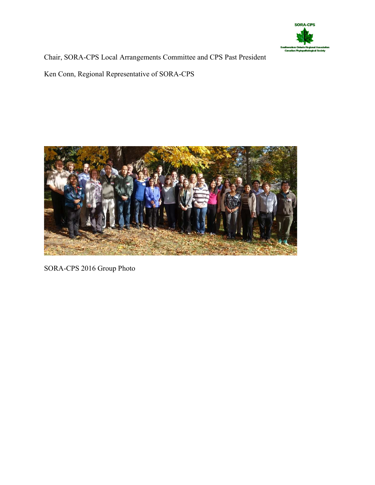

Chair, SORA-CPS Local Arrangements Committee and CPS Past President

Ken Conn, Regional Representative of SORA-CPS



SORA-CPS 2016 Group Photo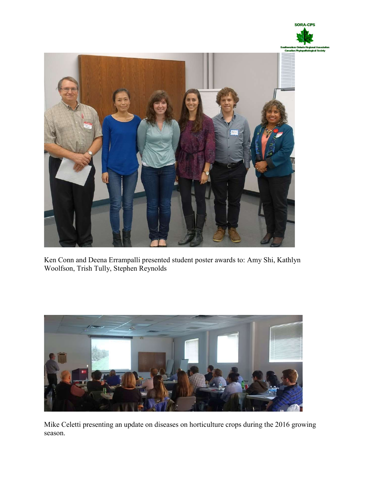



Ken Conn and Deena Errampalli presented student poster awards to: Amy Shi, Kathlyn Woolfson, Trish Tully, Stephen Reynolds



Mike Celetti presenting an update on diseases on horticulture crops during the 2016 growing season.